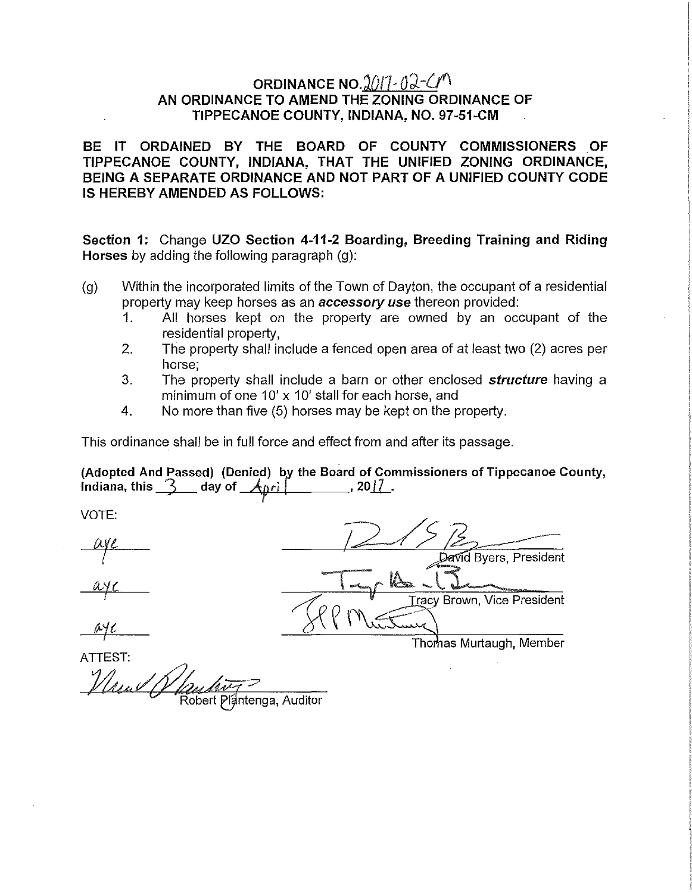# ORDINANCE NO. $2017 - 02 - C\prime\prime$ AN ORDINANCE TO AMEND THE ZONING ORDINANCE OF TIPPECANOE COUNTY, INDIANA, NO. 97-51-CM

BE IT ORDAINED BY THE BOARD OF COUNTY COMMISSIONERS OF TIPPECANOE COUNTY, INDIANA, THAT THE UNIFIED ZONING ORDINANCE, BEING A SEPARATE ORDINANCE AND NOT PART OF A UNIFIED COUNTY CODE IS HEREBY AMENDED AS FOLLOWS:

Section 1: Change UZO Section 4-11-2 Boarding, Breeding Training and Riding Horses by adding the following paragraph (g):

- $(q)$  Within the incorporated limits of the Town of Dayton, the occupant of a residential property may keep horses as an **accessory use** thereon provided:
	- 1. All horses kept on the property are owned by an occupant of the residential property,
	- 2. The property shall include a fenced open area of at least two (2) acres per horse;
	- 3. The property shall include a barn or other enclosed **structure** having a minimum of one 10'  $\times$  10' stall for each horse, and
	- 4. No more than five (5) horses may be kept on the property.

This ordinance shall be in full force and effect from and after its passage.

(Adopted And Passed) (Denied) by the Board of Commissioners of Tippecanoe County, Indiana, this  $\frac{3}{2}$  day of  $\frac{2}{\sqrt{1-\frac{1}{2}}}$ , 20<u>1</u>

VOTE:

David Byers, President **Tracy Brown, Vice President**  $8(11)$  (the take)

Thomas Murtaugh, Member

ATTEST: *<u><i>Ulun / Multin - Kobert Plantenga, Auditor Robert Plantenga, Auditor </u>*</u>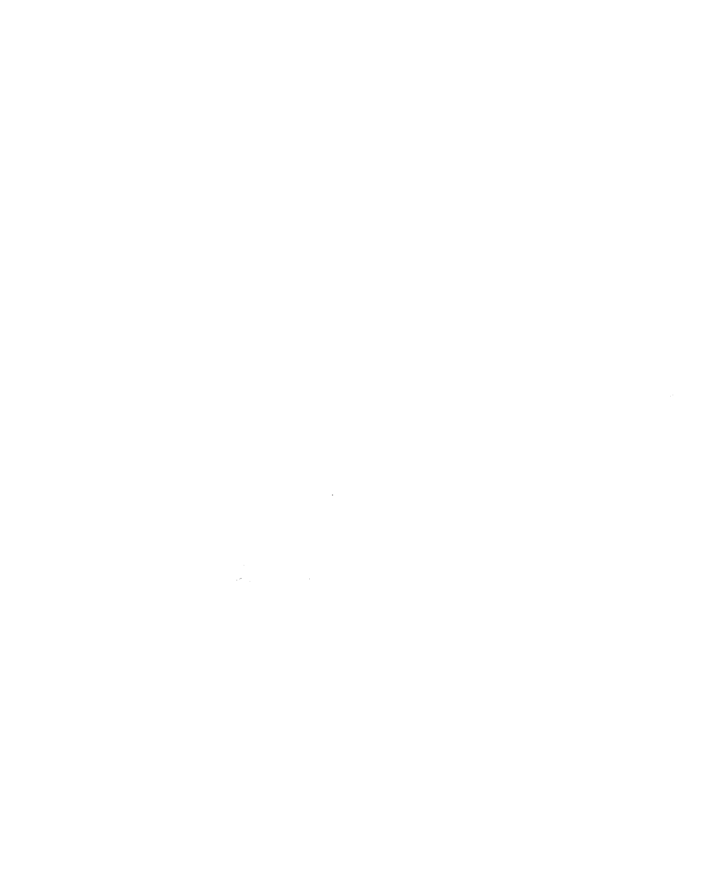$\mathcal{L}^{\text{max}}_{\text{max}}$  and  $\mathcal{L}^{\text{max}}_{\text{max}}$ 

 $\label{eq:2.1} \begin{split} \mathcal{L}_{\text{max}}(\mathcal{L}_{\text{max}}) = \mathcal{L}_{\text{max}}(\mathcal{L}_{\text{max}}) \,, \end{split}$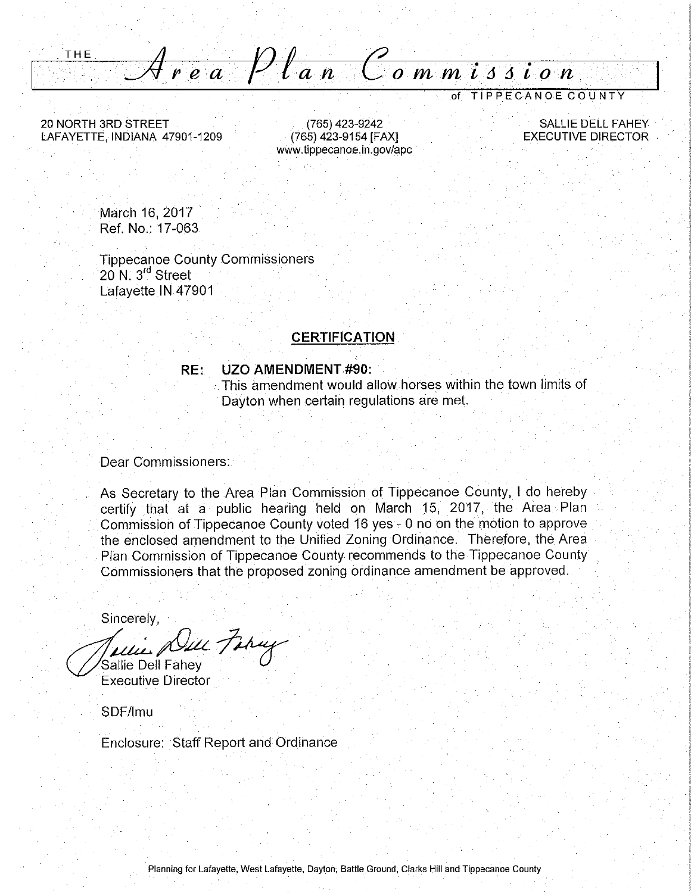. THE */9!a* **n** *e* **0 mm i j j i 0 n** 

20 NORTH 3RD STREET LAFAYETTE, INDIANA 47901-1209

I

(765) 423-9242 (765) 423-9154 [FAX] www.tippecanoe.in.gov/apc

SALLIE DELL FAHEY EXECUTIVE DIRECTOR

of TIPPECANOE COUNTY

March 16, 2017 Ref. No.: 17-063

Tippecanoe County Commissioners 20 N. 3<sup>rd</sup> Street Lafayette IN 47901

## **CERTIFICATION**

## **RE: UZO AMENDMENT#90:**

This amendment would allow horses within the town limits of Dayton when certain regulations are met.

Dear Commissioners:

As Secretary to the Area Plan Commission of Tippecanoe County, I do hereby certify that at a public hearing held on March 15, 2017, the Area Plan Commission of Tippecanoe County voted 16 yes - 0 no on the motion to approve the enclosed amendment to the Unified Zoning Ordinance. Therefore, the Area Plan Commission of Tippecanoe County recommends to the Tippecanoe County Commissioners that the proposed zoning ordinance amendment be approved.

Sincerely,

Due Firey Sallie Dell Fahey

**Executive Director** 

SDF/lmu

Enclosure: Staff Report and Ordinance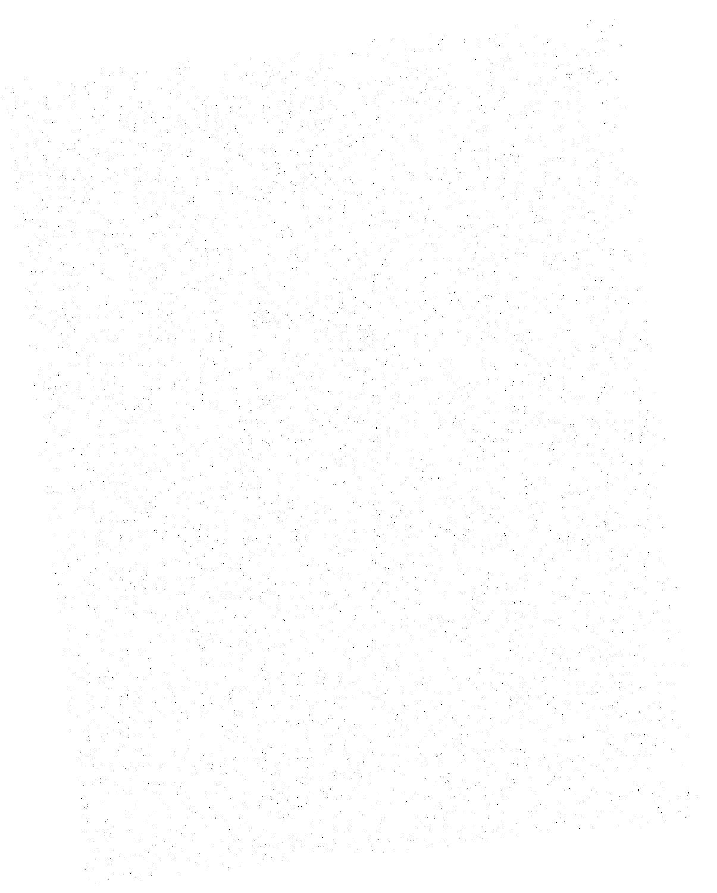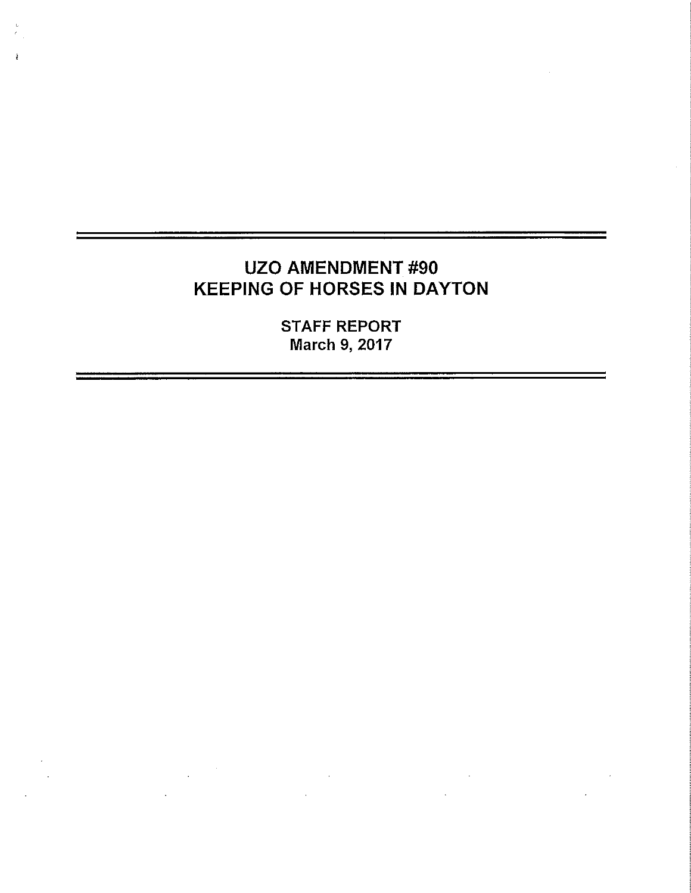# UZO AMENDMENT #90 KEEPING OF HORSES IN DAYTON

STAFF REPORT March 9, 2017

 $\mathcal{L}_{\text{max}}$  ,  $\mathcal{L}_{\text{max}}$ 

l,

 $\mathcal{L}_{\text{max}}$  ,  $\mathcal{L}_{\text{max}}$ 

 $\ddot{\phantom{a}}$ 

 $\label{eq:2.1} \mathcal{L}(\mathcal{L}) = \mathcal{L}(\mathcal{L}) \mathcal{L}(\mathcal{L}) = \mathcal{L}(\mathcal{L}) \mathcal{L}(\mathcal{L})$ 

 $\bar{\mathbf{r}}$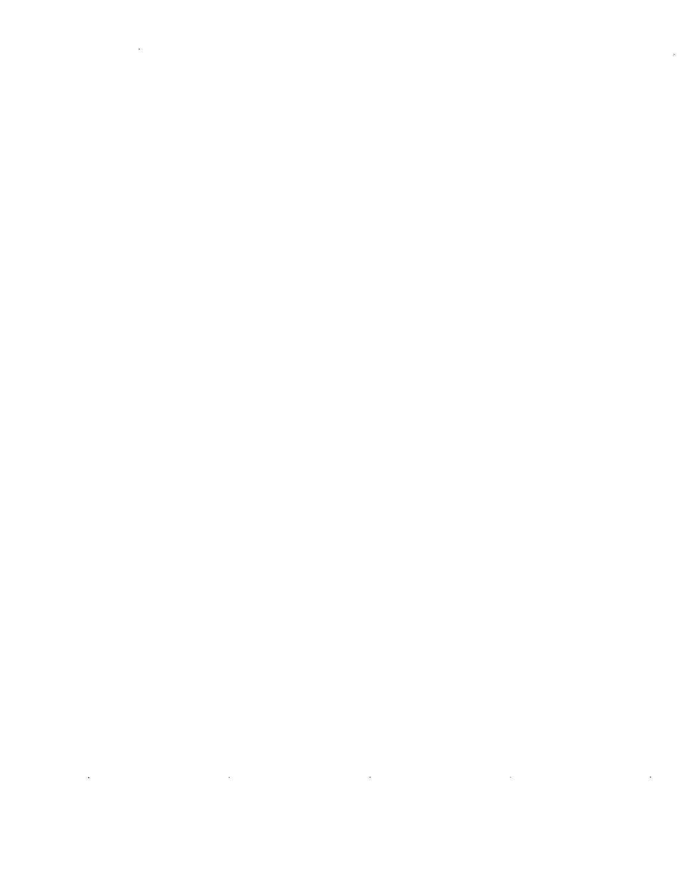$\label{eq:2} \frac{1}{2} \int_{\mathbb{R}^3} \frac{1}{\sqrt{2}} \, \frac{1}{\sqrt{2}} \, \frac{1}{\sqrt{2}} \, \frac{1}{\sqrt{2}} \, \frac{1}{\sqrt{2}} \, \frac{1}{\sqrt{2}} \, \frac{1}{\sqrt{2}} \, \frac{1}{\sqrt{2}} \, \frac{1}{\sqrt{2}} \, \frac{1}{\sqrt{2}} \, \frac{1}{\sqrt{2}} \, \frac{1}{\sqrt{2}} \, \frac{1}{\sqrt{2}} \, \frac{1}{\sqrt{2}} \, \frac{1}{\sqrt{2}} \, \frac{1}{\sqrt{2}} \, \frac$ 

 $\mathcal{L}(\mathcal{L}(\mathcal{L}(\mathcal{L}(\mathcal{L}(\mathcal{L}(\mathcal{L}(\mathcal{L}(\mathcal{L}(\mathcal{L}(\mathcal{L}(\mathcal{L}(\mathcal{L}(\mathcal{L}(\mathcal{L}(\mathcal{L}(\mathcal{L}(\mathcal{L}(\mathcal{L}(\mathcal{L}(\mathcal{L}(\mathcal{L}(\mathcal{L}(\mathcal{L}(\mathcal{L}(\mathcal{L}(\mathcal{L}(\mathcal{L}(\mathcal{L}(\mathcal{L}(\mathcal{L}(\mathcal{L}(\mathcal{L}(\mathcal{L}(\mathcal{L}(\mathcal{L}(\mathcal{$ 

 $\langle \hat{r} \rangle$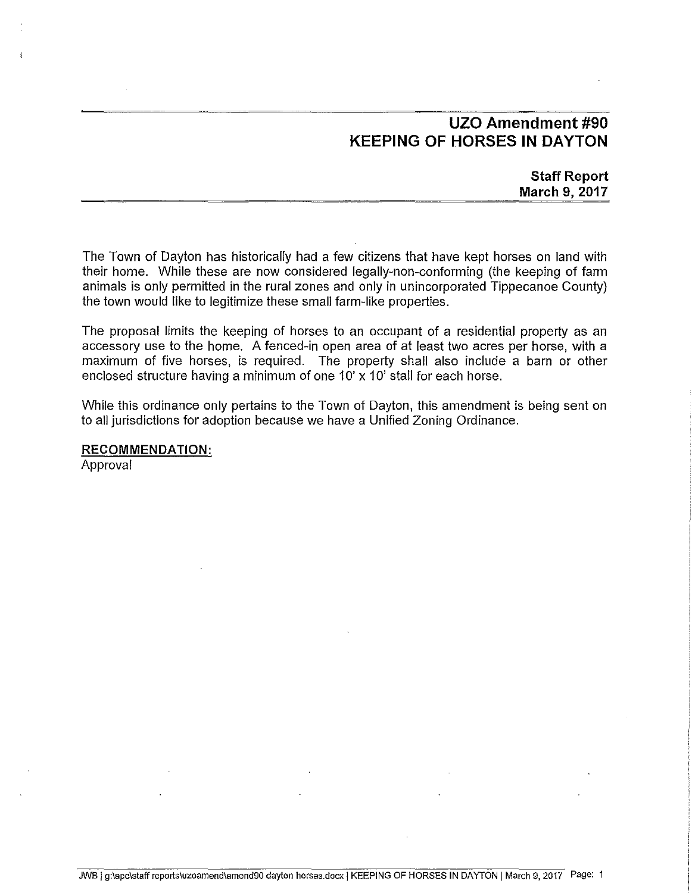# **UZO Amendment #90 KEEPING OF HORSES IN DAYTON**

#### **Staff Report March 9, 2017**

The Town of Dayton has historically had a few citizens that have kept horses on land with their home. While these are now considered legally-non-conforming (the keeping of farm animals is only permitted **in** the rural zones and only in unincorporated Tippecanoe County) the town would like to legitimize these small farm-like properties.

The proposal limits the keeping of horses to an occupant of a residential property as an accessory use to the home. A fenced-in open area of at least two acres per horse, with a maximum of five horses, is required. The property shall also include a barn or other enclosed structure having a minimum of one 10' x 10' stall for each horse.

While this ordinance only pertains to the Town of Dayton, this amendment is being sent on to all jurisdictions for adoption because we have a Unified Zoning Ordinance.

**RECOMMENDATION:** 

Approval